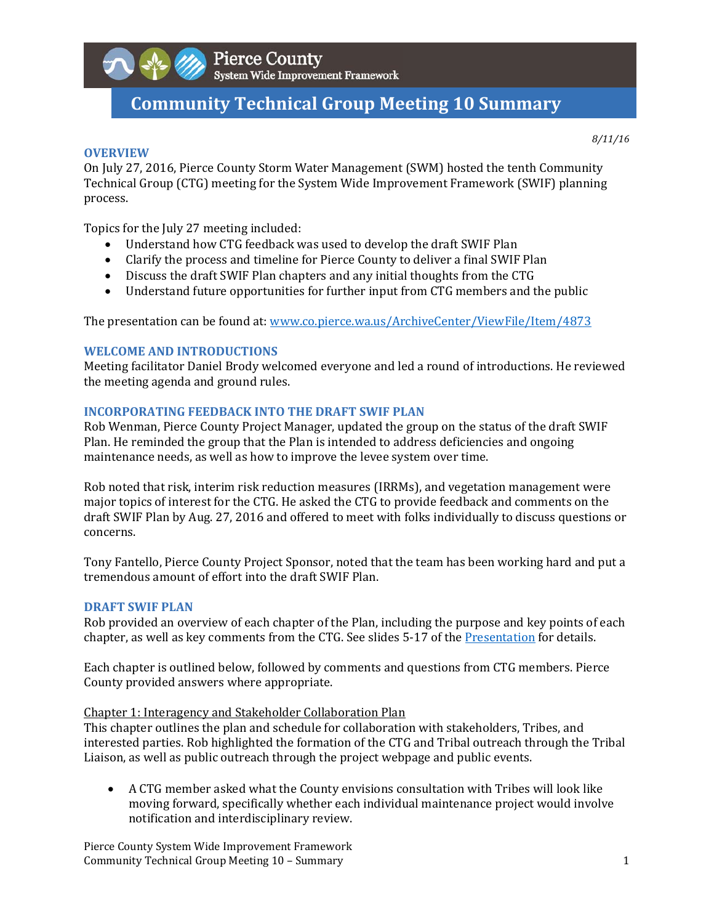

# **Community Technical Group Meeting 10 Summary**

#### **OVERVIEW**

*8/11/16*

On July 27, 2016, Pierce County Storm Water Management (SWM) hosted the tenth Community Technical Group (CTG) meeting for the System Wide Improvement Framework (SWIF) planning process. 

Topics for the July 27 meeting included:

- Understand how CTG feedback was used to develop the draft SWIF Plan
- Clarify the process and timeline for Pierce County to deliver a final SWIF Plan
- Discuss the draft SWIF Plan chapters and any initial thoughts from the CTG
- Understand future opportunities for further input from CTG members and the public

The presentation can be found at: www.co.pierce.wa.us/ArchiveCenter/ViewFile/Item/4873

### **WELCOME AND INTRODUCTIONS**

Meeting facilitator Daniel Brody welcomed everyone and led a round of introductions. He reviewed the meeting agenda and ground rules.

## **INCORPORATING FEEDBACK INTO THE DRAFT SWIF PLAN**

Rob Wenman, Pierce County Project Manager, updated the group on the status of the draft SWIF Plan. He reminded the group that the Plan is intended to address deficiencies and ongoing maintenance needs, as well as how to improve the levee system over time.

Rob noted that risk, interim risk reduction measures (IRRMs), and vegetation management were major topics of interest for the CTG. He asked the CTG to provide feedback and comments on the draft SWIF Plan by Aug. 27, 2016 and offered to meet with folks individually to discuss questions or concerns. 

Tony Fantello, Pierce County Project Sponsor, noted that the team has been working hard and put a tremendous amount of effort into the draft SWIF Plan.

### **DRAFT SWIF PLAN**

Rob provided an overview of each chapter of the Plan, including the purpose and key points of each chapter, as well as key comments from the CTG. See slides 5-17 of the Presentation for details.

Each chapter is outlined below, followed by comments and questions from CTG members. Pierce County provided answers where appropriate.

### Chapter 1: Interagency and Stakeholder Collaboration Plan

This chapter outlines the plan and schedule for collaboration with stakeholders, Tribes, and interested parties. Rob highlighted the formation of the CTG and Tribal outreach through the Tribal Liaison, as well as public outreach through the project webpage and public events.

• A CTG member asked what the County envisions consultation with Tribes will look like moving forward, specifically whether each individual maintenance project would involve notification and interdisciplinary review.

Pierce County System Wide Improvement Framework Community Technical Group Meeting 10 – Summary **19. In the case of the contract of the contract of the contract of the contract of the contract of the contract of the contract of the contract of the contract of the contrac**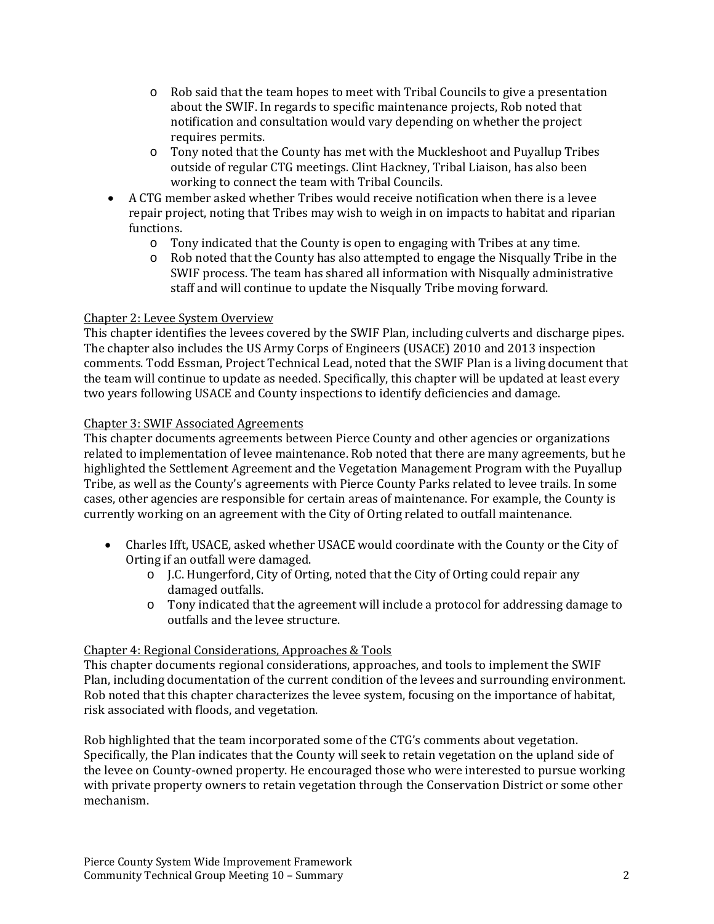- $\circ$  Rob said that the team hopes to meet with Tribal Councils to give a presentation about the SWIF. In regards to specific maintenance projects, Rob noted that notification and consultation would vary depending on whether the project requires permits.
- $\circ$  Tony noted that the County has met with the Muckleshoot and Puyallup Tribes outside of regular CTG meetings. Clint Hackney, Tribal Liaison, has also been working to connect the team with Tribal Councils.
- A CTG member asked whether Tribes would receive notification when there is a levee repair project, noting that Tribes may wish to weigh in on impacts to habitat and riparian functions.
	- o Tony indicated that the County is open to engaging with Tribes at any time.
	- $\circ$  Rob noted that the County has also attempted to engage the Nisqually Tribe in the SWIF process. The team has shared all information with Nisqually administrative staff and will continue to update the Nisqually Tribe moving forward.

# Chapter 2: Levee System Overview

This chapter identifies the levees covered by the SWIF Plan, including culverts and discharge pipes. The chapter also includes the US Army Corps of Engineers (USACE) 2010 and 2013 inspection comments. Todd Essman, Project Technical Lead, noted that the SWIF Plan is a living document that the team will continue to update as needed. Specifically, this chapter will be updated at least every two years following USACE and County inspections to identify deficiencies and damage.

# Chapter 3: SWIF Associated Agreements

This chapter documents agreements between Pierce County and other agencies or organizations related to implementation of levee maintenance. Rob noted that there are many agreements, but he highlighted the Settlement Agreement and the Vegetation Management Program with the Puyallup Tribe, as well as the County's agreements with Pierce County Parks related to levee trails. In some cases, other agencies are responsible for certain areas of maintenance. For example, the County is currently working on an agreement with the City of Orting related to outfall maintenance.

- Charles Ifft, USACE, asked whether USACE would coordinate with the County or the City of Orting if an outfall were damaged.
	- o J.C. Hungerford, City of Orting, noted that the City of Orting could repair any damaged outfalls.
	- $\circ$  Tony indicated that the agreement will include a protocol for addressing damage to outfalls and the levee structure.

# Chapter 4: Regional Considerations, Approaches & Tools

This chapter documents regional considerations, approaches, and tools to implement the SWIF Plan, including documentation of the current condition of the levees and surrounding environment. Rob noted that this chapter characterizes the levee system, focusing on the importance of habitat, risk associated with floods, and vegetation.

Rob highlighted that the team incorporated some of the CTG's comments about vegetation. Specifically, the Plan indicates that the County will seek to retain vegetation on the upland side of the levee on County-owned property. He encouraged those who were interested to pursue working with private property owners to retain vegetation through the Conservation District or some other mechanism.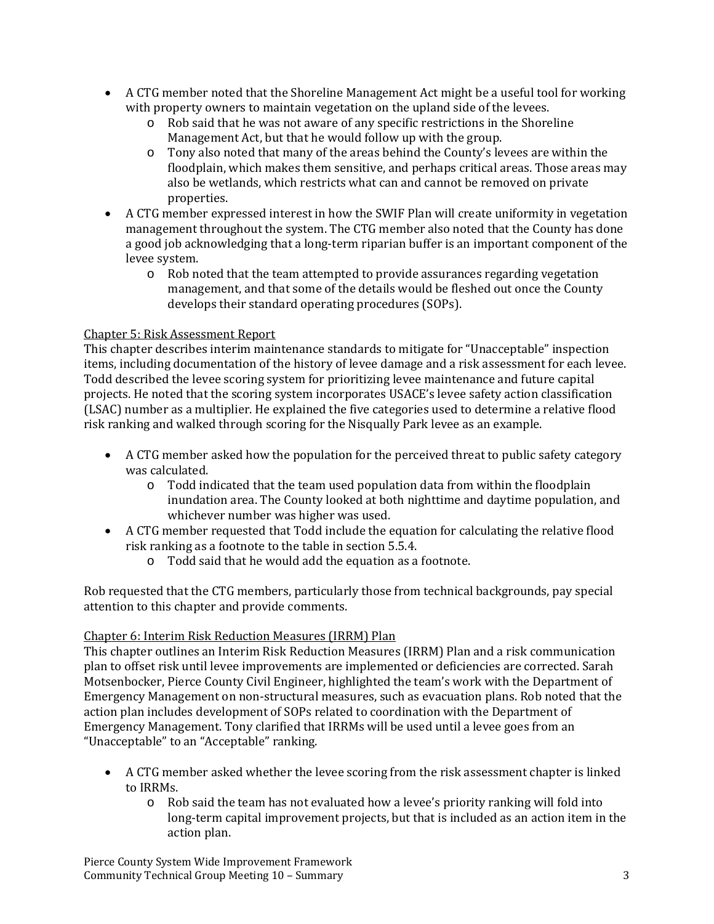- A CTG member noted that the Shoreline Management Act might be a useful tool for working with property owners to maintain vegetation on the upland side of the levees.
	- o Rob said that he was not aware of any specific restrictions in the Shoreline Management Act, but that he would follow up with the group.
	- $\circ$  Tony also noted that many of the areas behind the County's levees are within the floodplain, which makes them sensitive, and perhaps critical areas. Those areas may also be wetlands, which restricts what can and cannot be removed on private properties.
- A CTG member expressed interest in how the SWIF Plan will create uniformity in vegetation management throughout the system. The CTG member also noted that the County has done a good job acknowledging that a long-term riparian buffer is an important component of the levee system.
	- $\circ$  Rob noted that the team attempted to provide assurances regarding vegetation management, and that some of the details would be fleshed out once the County develops their standard operating procedures (SOPs).

# Chapter 5: Risk Assessment Report

This chapter describes interim maintenance standards to mitigate for "Unacceptable" inspection items, including documentation of the history of levee damage and a risk assessment for each levee. Todd described the levee scoring system for prioritizing levee maintenance and future capital projects. He noted that the scoring system incorporates USACE's levee safety action classification (LSAC) number as a multiplier. He explained the five categories used to determine a relative flood risk ranking and walked through scoring for the Nisqually Park levee as an example.

- A CTG member asked how the population for the perceived threat to public safety category was calculated.
	- $\circ$  Todd indicated that the team used population data from within the floodplain inundation area. The County looked at both nighttime and daytime population, and whichever number was higher was used.
- A CTG member requested that Todd include the equation for calculating the relative flood risk ranking as a footnote to the table in section 5.5.4.
	- $\circ$  Todd said that he would add the equation as a footnote.

Rob requested that the CTG members, particularly those from technical backgrounds, pay special attention to this chapter and provide comments.

# Chapter 6: Interim Risk Reduction Measures (IRRM) Plan

This chapter outlines an Interim Risk Reduction Measures (IRRM) Plan and a risk communication plan to offset risk until levee improvements are implemented or deficiencies are corrected. Sarah Motsenbocker, Pierce County Civil Engineer, highlighted the team's work with the Department of Emergency Management on non-structural measures, such as evacuation plans. Rob noted that the action plan includes development of SOPs related to coordination with the Department of Emergency Management. Tony clarified that IRRMs will be used until a levee goes from an "Unacceptable" to an "Acceptable" ranking.

- A CTG member asked whether the levee scoring from the risk assessment chapter is linked to IRRMs.
	- o Rob said the team has not evaluated how a levee's priority ranking will fold into long-term capital improvement projects, but that is included as an action item in the action plan.

Pierce County System Wide Improvement Framework Community Technical Group Meeting 10 – Summary **Server Community** Technical Group Meeting 10 – Summary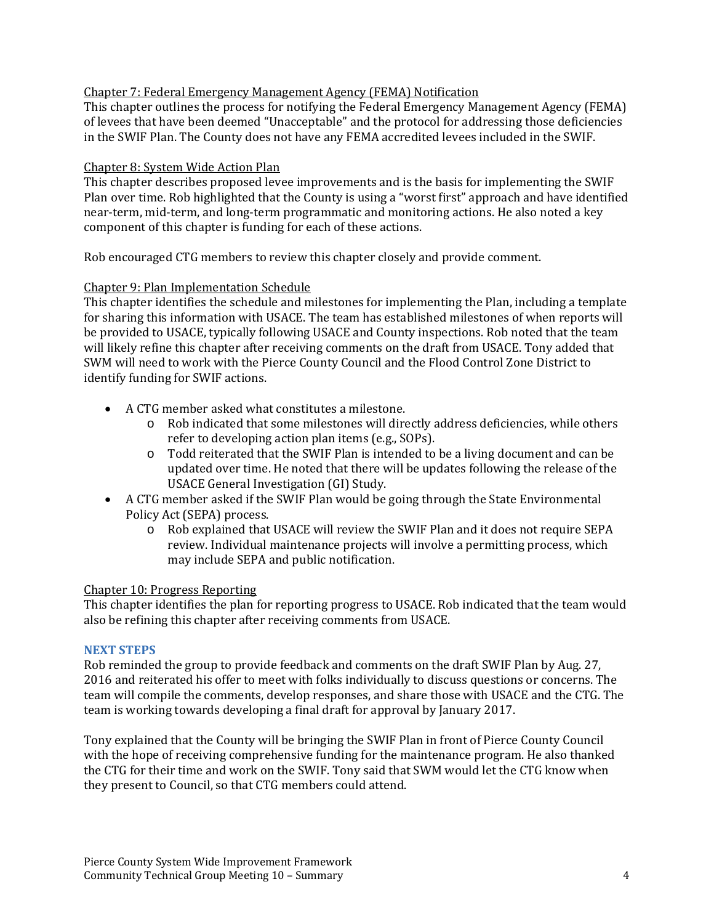# Chapter 7: Federal Emergency Management Agency (FEMA) Notification

This chapter outlines the process for notifying the Federal Emergency Management Agency (FEMA) of levees that have been deemed "Unacceptable" and the protocol for addressing those deficiencies in the SWIF Plan. The County does not have any FEMA accredited levees included in the SWIF.

## Chapter 8: System Wide Action Plan

This chapter describes proposed levee improvements and is the basis for implementing the SWIF Plan over time. Rob highlighted that the County is using a "worst first" approach and have identified near-term, mid-term, and long-term programmatic and monitoring actions. He also noted a key component of this chapter is funding for each of these actions.

Rob encouraged CTG members to review this chapter closely and provide comment.

## Chapter 9: Plan Implementation Schedule

This chapter identifies the schedule and milestones for implementing the Plan, including a template for sharing this information with USACE. The team has established milestones of when reports will be provided to USACE, typically following USACE and County inspections. Rob noted that the team will likely refine this chapter after receiving comments on the draft from USACE. Tony added that SWM will need to work with the Pierce County Council and the Flood Control Zone District to identify funding for SWIF actions.

- A CTG member asked what constitutes a milestone.
	- o Rob indicated that some milestones will directly address deficiencies, while others refer to developing action plan items (e.g., SOPs).
	- $\circ$  Todd reiterated that the SWIF Plan is intended to be a living document and can be updated over time. He noted that there will be updates following the release of the USACE General Investigation (GI) Study.
- A CTG member asked if the SWIF Plan would be going through the State Environmental Policy Act (SEPA) process.
	- o Rob explained that USACE will review the SWIF Plan and it does not require SEPA review. Individual maintenance projects will involve a permitting process, which may include SEPA and public notification.

### Chapter 10: Progress Reporting

This chapter identifies the plan for reporting progress to USACE. Rob indicated that the team would also be refining this chapter after receiving comments from USACE.

### **NEXT STEPS**

Rob reminded the group to provide feedback and comments on the draft SWIF Plan by Aug. 27, 2016 and reiterated his offer to meet with folks individually to discuss questions or concerns. The team will compile the comments, develop responses, and share those with USACE and the CTG. The team is working towards developing a final draft for approval by January 2017.

Tony explained that the County will be bringing the SWIF Plan in front of Pierce County Council with the hope of receiving comprehensive funding for the maintenance program. He also thanked the CTG for their time and work on the SWIF. Tony said that SWM would let the CTG know when they present to Council, so that CTG members could attend.